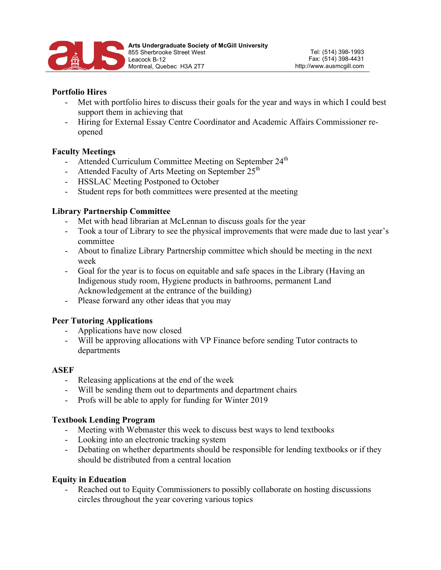

## **Portfolio Hires**

- Met with portfolio hires to discuss their goals for the year and ways in which I could best support them in achieving that
- Hiring for External Essay Centre Coordinator and Academic Affairs Commissioner reopened

## **Faculty Meetings**

- Attended Curriculum Committee Meeting on September 24<sup>th</sup>
- Attended Faculty of Arts Meeting on September  $25<sup>th</sup>$
- HSSLAC Meeting Postponed to October
- Student reps for both committees were presented at the meeting

#### **Library Partnership Committee**

- Met with head librarian at McLennan to discuss goals for the year
- Took a tour of Library to see the physical improvements that were made due to last year's committee
- About to finalize Library Partnership committee which should be meeting in the next week
- Goal for the year is to focus on equitable and safe spaces in the Library (Having an Indigenous study room, Hygiene products in bathrooms, permanent Land Acknowledgement at the entrance of the building)
- Please forward any other ideas that you may

#### **Peer Tutoring Applications**

- Applications have now closed
- Will be approving allocations with VP Finance before sending Tutor contracts to departments

#### **ASEF**

- Releasing applications at the end of the week
- Will be sending them out to departments and department chairs
- Profs will be able to apply for funding for Winter 2019

#### **Textbook Lending Program**

- Meeting with Webmaster this week to discuss best ways to lend textbooks
- Looking into an electronic tracking system
- Debating on whether departments should be responsible for lending textbooks or if they should be distributed from a central location

#### **Equity in Education**

Reached out to Equity Commissioners to possibly collaborate on hosting discussions circles throughout the year covering various topics